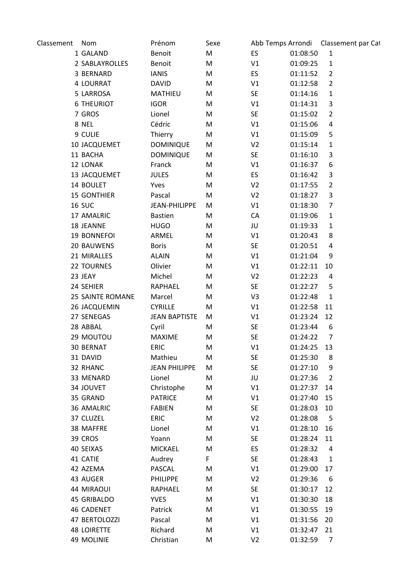| Classement | Nom                     | Prénom               | Sexe |                |          | Abb Temps Arrondi Classement par Cat |
|------------|-------------------------|----------------------|------|----------------|----------|--------------------------------------|
|            | 1 GALAND                | Benoit               | M    | ES             | 01:08:50 | $\mathbf 1$                          |
|            | 2 SABLAYROLLES          | Benoit               | M    | V1             | 01:09:25 | $\mathbf{1}$                         |
|            | 3 BERNARD               | <b>IANIS</b>         | M    | ES             | 01:11:52 | $\overline{2}$                       |
|            | 4 LOURRAT               | <b>DAVID</b>         | M    | V1             | 01:12:58 | $\overline{2}$                       |
|            | 5 LARROSA               | <b>MATHIEU</b>       | M    | <b>SE</b>      | 01:14:16 | $\mathbf{1}$                         |
|            | <b>6 THEURIOT</b>       | <b>IGOR</b>          | M    | V1             | 01:14:31 | 3                                    |
|            | 7 GROS                  | Lionel               | M    | <b>SE</b>      | 01:15:02 | $\overline{2}$                       |
|            | 8 NEL                   | Cédric               | M    | V1             | 01:15:06 | 4                                    |
|            | 9 CULIE                 | Thierry              | M    | V1             | 01:15:09 | 5                                    |
|            | 10 JACQUEMET            | <b>DOMINIQUE</b>     | M    | V <sub>2</sub> | 01:15:14 | $\mathbf{1}$                         |
|            | 11 BACHA                | <b>DOMINIQUE</b>     | M    | <b>SE</b>      | 01:16:10 | 3                                    |
|            | 12 LONAK                | Franck               | M    | V1             | 01:16:37 | 6                                    |
|            | 13 JACQUEMET            | <b>JULES</b>         | M    | ES             | 01:16:42 | 3                                    |
|            | 14 BOULET               | Yves                 | M    | V <sub>2</sub> | 01:17:55 | $\overline{2}$                       |
|            | <b>15 GONTHIER</b>      | Pascal               | M    | V <sub>2</sub> | 01:18:27 | 3                                    |
|            | <b>16 SUC</b>           | JEAN-PHILIPPE        | M    | V1             | 01:18:30 | 7                                    |
|            | 17 AMALRIC              | <b>Bastien</b>       | M    | CA             | 01:19:06 | 1                                    |
|            | 18 JEANNE               | <b>HUGO</b>          | M    | JU             | 01:19:33 | $\mathbf{1}$                         |
|            | 19 BONNEFOI             | ARMEL                | M    | V1             | 01:20:43 | 8                                    |
|            | 20 BAUWENS              | <b>Boris</b>         | M    | <b>SE</b>      | 01:20:51 | 4                                    |
|            | 21 MIRALLES             | <b>ALAIN</b>         | M    | V1             | 01:21:04 | 9                                    |
|            | <b>22 TOURNES</b>       | Olivier              | M    | V1             | 01:22:11 | 10                                   |
|            | 23 JEAY                 | Michel               | M    | V <sub>2</sub> | 01:22:23 | $\overline{a}$                       |
|            | 24 SEHIER               | RAPHAEL              | M    | <b>SE</b>      | 01:22:27 | 5                                    |
|            | <b>25 SAINTE ROMANE</b> | Marcel               | M    | V3             | 01:22:48 | $\mathbf{1}$                         |
|            | 26 JACQUEMIN            | <b>CYRILLE</b>       | M    | V1             | 01:22:58 | 11                                   |
|            | 27 SENEGAS              | <b>JEAN BAPTISTE</b> | M    | V1             | 01:23:24 | 12                                   |
|            | 28 ABBAL                | Cyril                | M    | <b>SE</b>      | 01:23:44 | 6                                    |
|            | 29 MOUTOU               | <b>MAXIME</b>        | M    | <b>SE</b>      | 01:24:22 | $\overline{7}$                       |
|            | 30 BERNAT               | <b>ERIC</b>          | M    | V1             | 01:24:25 | 13                                   |
|            | 31 DAVID                | Mathieu              | M    | <b>SE</b>      | 01:25:30 | 8                                    |
|            | 32 RHANC                | <b>JEAN PHILIPPE</b> | M    | <b>SE</b>      | 01:27:10 | 9                                    |
|            | 33 MENARD               | Lionel               | M    | JU             | 01:27:36 | $\overline{2}$                       |
|            | 34 JOUVET               | Christophe           | M    | V1             | 01:27:37 | 14                                   |
|            |                         |                      |      |                |          |                                      |
|            | 35 GRAND                | <b>PATRICE</b>       | M    | V1             | 01:27:40 | 15                                   |
|            | 36 AMALRIC              | <b>FABIEN</b>        | M    | <b>SE</b>      | 01:28:03 | 10                                   |
|            | 37 CLUZEL               | <b>ERIC</b>          | M    | V <sub>2</sub> | 01:28:08 | 5                                    |
|            | 38 MAFFRE               | Lionel               | M    | V1             | 01:28:10 | 16                                   |
|            | 39 CROS                 | Yoann                | M    | <b>SE</b>      | 01:28:24 | 11                                   |
|            | 40 SEIXAS               | <b>MICKAEL</b>       | M    | ES             | 01:28:32 | 4                                    |
|            | 41 CATIE                | Audrey               | F    | <b>SE</b>      | 01:28:43 | 1                                    |
|            | 42 AZEMA                | PASCAL               | M    | V1             | 01:29:00 | 17                                   |
|            | 43 AUGER                | <b>PHILIPPE</b>      | M    | V <sub>2</sub> | 01:29:36 | 6                                    |
|            | 44 MIRAOUI              | RAPHAEL              | M    | <b>SE</b>      | 01:30:17 | 12                                   |
|            | 45 GRIBALDO             | <b>YVES</b>          | M    | V1             | 01:30:30 | 18                                   |
|            | <b>46 CADENET</b>       | Patrick              | M    | V1             | 01:30:55 | 19                                   |
|            | 47 BERTOLOZZI           | Pascal               | M    | V1             | 01:31:56 | 20                                   |
|            | <b>48 LOIRETTE</b>      | Richard              | M    | V1             | 01:32:47 | 21                                   |
|            | 49 MOLINIE              | Christian            | M    | V <sub>2</sub> | 01:32:59 | $\overline{7}$                       |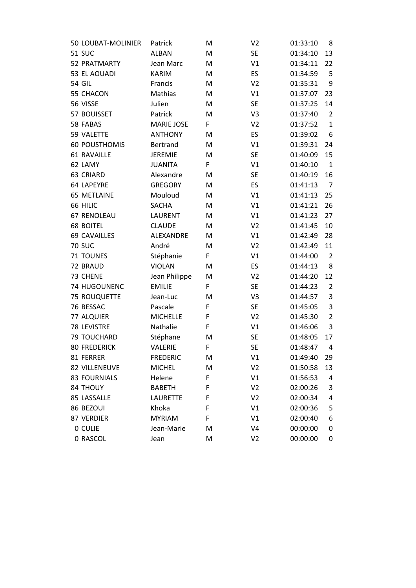| 50 LOUBAT-MOLINIER  | Patrick           | M | V <sub>2</sub> | 01:33:10 | 8              |
|---------------------|-------------------|---|----------------|----------|----------------|
| <b>51 SUC</b>       | <b>ALBAN</b>      | M | <b>SE</b>      | 01:34:10 | 13             |
| 52 PRATMARTY        | Jean Marc         | M | V1             | 01:34:11 | 22             |
| 53 EL AOUADI        | <b>KARIM</b>      | M | ES             | 01:34:59 | 5              |
| <b>54 GIL</b>       | Francis           | M | V <sub>2</sub> | 01:35:31 | 9              |
| 55 CHACON           | Mathias           | M | V1             | 01:37:07 | 23             |
| 56 VISSE            | Julien            | M | <b>SE</b>      | 01:37:25 | 14             |
| 57 BOUISSET         | Patrick           | M | V <sub>3</sub> | 01:37:40 | $\overline{2}$ |
| 58 FABAS            | <b>MARIE JOSE</b> | F | V <sub>2</sub> | 01:37:52 | $\mathbf 1$    |
| 59 VALETTE          | <b>ANTHONY</b>    | M | ES             | 01:39:02 | 6              |
| 60 POUSTHOMIS       | <b>Bertrand</b>   | M | V1             | 01:39:31 | 24             |
| 61 RAVAILLE         | JEREMIE           | M | <b>SE</b>      | 01:40:09 | 15             |
| 62 LAMY             | <b>JUANITA</b>    | F | V1             | 01:40:10 | $\mathbf{1}$   |
| 63 CRIARD           | Alexandre         | M | <b>SE</b>      | 01:40:19 | 16             |
| 64 LAPEYRE          | <b>GREGORY</b>    | M | ES             | 01:41:13 | $\overline{7}$ |
| <b>65 METLAINE</b>  | Mouloud           | M | V1             | 01:41:13 | 25             |
| 66 HILIC            | <b>SACHA</b>      | M | V1             | 01:41:21 | 26             |
| 67 RENOLEAU         | <b>LAURENT</b>    | M | V1             | 01:41:23 | 27             |
| <b>68 BOITEL</b>    | <b>CLAUDE</b>     | M | V <sub>2</sub> | 01:41:45 | 10             |
| <b>69 CAVAILLES</b> | ALEXANDRE         | M | V1             | 01:42:49 | 28             |
| <b>70 SUC</b>       | André             | M | V <sub>2</sub> | 01:42:49 | 11             |
| 71 TOUNES           | Stéphanie         | F | V1             | 01:44:00 | $\overline{2}$ |
| 72 BRAUD            | <b>VIOLAN</b>     | M | ES             | 01:44:13 | 8              |
| 73 CHENE            | Jean Philippe     | M | V <sub>2</sub> | 01:44:20 | 12             |
| 74 HUGOUNENC        | <b>EMILIE</b>     | F | <b>SE</b>      | 01:44:23 | $\overline{2}$ |
| 75 ROUQUETTE        | Jean-Luc          | M | V3             | 01:44:57 | 3              |
| 76 BESSAC           | Pascale           | F | <b>SE</b>      | 01:45:05 | 3              |
| 77 ALQUIER          | <b>MICHELLE</b>   | F | V <sub>2</sub> | 01:45:30 | $\overline{2}$ |
| <b>78 LEVISTRE</b>  | Nathalie          | F | V1             | 01:46:06 | 3              |
| 79 TOUCHARD         | Stéphane          | M | <b>SE</b>      | 01:48:05 | 17             |
| <b>80 FREDERICK</b> | VALERIE           | F | <b>SE</b>      | 01:48:47 | $\overline{4}$ |
| 81 FERRER           | <b>FREDERIC</b>   | M | V1             | 01:49:40 | 29             |
| 82 VILLENEUVE       | <b>MICHEL</b>     | M | V <sub>2</sub> | 01:50:58 | 13             |
| <b>83 FOURNIALS</b> | Helene            | F | V1             | 01:56:53 | 4              |
| 84 THOUY            | <b>BABETH</b>     | F | V <sub>2</sub> | 02:00:26 | 3              |
| 85 LASSALLE         | <b>LAURETTE</b>   | F | V <sub>2</sub> | 02:00:34 | 4              |
| 86 BEZOUI           | Khoka             | F | V1             | 02:00:36 | 5              |
| 87 VERDIER          | <b>MYRIAM</b>     | F | V1             | 02:00:40 | 6              |
| 0 CULIE             | Jean-Marie        | M | V <sub>4</sub> | 00:00:00 | 0              |
| 0 RASCOL            | Jean              | M | V <sub>2</sub> | 00:00:00 | 0              |